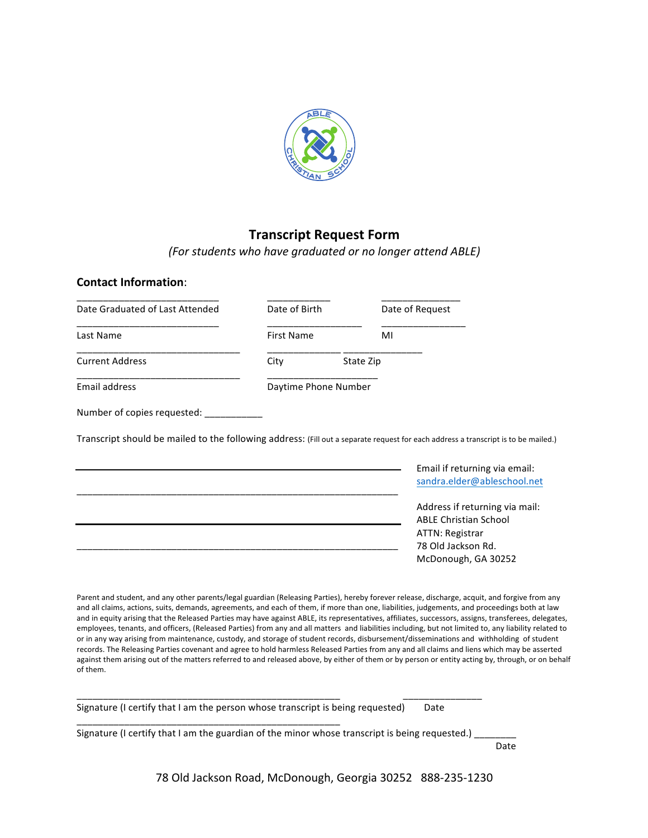

## **Transcript Request Form**

*(For students who have graduated or no longer attend ABLE)*

**Contact Information**:

| Date Graduated of Last Attended                                                                                                    | Date of Birth        |           |    | Date of Request                                                |
|------------------------------------------------------------------------------------------------------------------------------------|----------------------|-----------|----|----------------------------------------------------------------|
| Last Name                                                                                                                          | <b>First Name</b>    |           | MI |                                                                |
| <b>Current Address</b>                                                                                                             | City                 | State Zip |    |                                                                |
| Email address                                                                                                                      | Daytime Phone Number |           |    |                                                                |
| Number of copies requested:                                                                                                        |                      |           |    |                                                                |
| Transcript should be mailed to the following address: (Fill out a separate request for each address a transcript is to be mailed.) |                      |           |    | Email if returning via email:                                  |
|                                                                                                                                    |                      |           |    |                                                                |
|                                                                                                                                    |                      |           |    | sandra.elder@ableschool.net                                    |
|                                                                                                                                    |                      |           |    | Address if returning via mail:<br><b>ABLE Christian School</b> |
|                                                                                                                                    |                      |           |    | <b>ATTN: Registrar</b><br>78 Old Jackson Rd.                   |

Parent and student, and any other parents/legal guardian (Releasing Parties), hereby forever release, discharge, acquit, and forgive from any and all claims, actions, suits, demands, agreements, and each of them, if more than one, liabilities, judgements, and proceedings both at law and in equity arising that the Released Parties may have against ABLE, its representatives, affiliates, successors, assigns, transferees, delegates, employees, tenants, and officers, (Released Parties) from any and all matters and liabilities including, but not limited to, any liability related to or in any way arising from maintenance, custody, and storage of student records, disbursement/disseminations and withholding of student records. The Releasing Parties covenant and agree to hold harmless Released Parties from any and all claims and liens which may be asserted against them arising out of the matters referred to and released above, by either of them or by person or entity acting by, through, or on behalf of them.

Signature (I certify that I am the person whose transcript is being requested) Date

\_\_\_\_\_\_\_\_\_\_\_\_\_\_\_\_\_\_\_\_\_\_\_\_\_\_\_\_\_\_\_\_\_\_\_\_\_\_\_\_\_\_\_\_\_\_\_\_\_\_

Signature (I certify that I am the guardian of the minor whose transcript is being requested.) \_

\_\_\_\_\_\_\_\_\_\_\_\_\_\_\_\_\_\_\_\_\_\_\_\_\_\_\_\_\_\_\_\_\_\_\_\_\_\_\_\_\_\_\_\_\_\_\_\_\_\_ \_\_\_\_\_\_\_\_\_\_\_\_\_\_\_

Date

78 Old Jackson Road, McDonough, Georgia 30252 888-235-1230